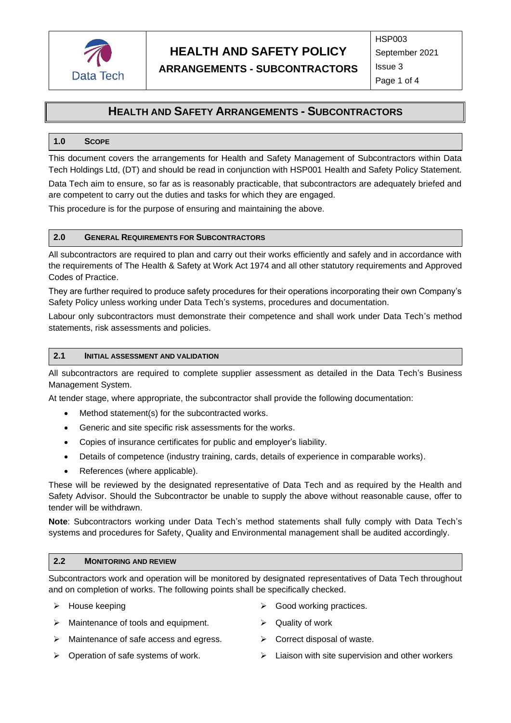

# **HEALTH AND SAFETY POLICY ARRANGEMENTS - SUBCONTRACTORS**

HSP003 September 2021 Issue 3

# Page 1 of 4

# **HEALTH AND SAFETY ARRANGEMENTS - SUBCONTRACTORS**

#### **1.0 SCOPE**

This document covers the arrangements for Health and Safety Management of Subcontractors within Data Tech Holdings Ltd, (DT) and should be read in conjunction with HSP001 Health and Safety Policy Statement.

Data Tech aim to ensure, so far as is reasonably practicable, that subcontractors are adequately briefed and are competent to carry out the duties and tasks for which they are engaged.

This procedure is for the purpose of ensuring and maintaining the above.

#### **2.0 GENERAL REQUIREMENTS FOR SUBCONTRACTORS**

All subcontractors are required to plan and carry out their works efficiently and safely and in accordance with the requirements of The Health & Safety at Work Act 1974 and all other statutory requirements and Approved Codes of Practice.

They are further required to produce safety procedures for their operations incorporating their own Company's Safety Policy unless working under Data Tech's systems, procedures and documentation.

Labour only subcontractors must demonstrate their competence and shall work under Data Tech's method statements, risk assessments and policies.

#### **2.1 INITIAL ASSESSMENT AND VALIDATION**

All subcontractors are required to complete supplier assessment as detailed in the Data Tech's Business Management System.

At tender stage, where appropriate, the subcontractor shall provide the following documentation:

- Method statement(s) for the subcontracted works.
- Generic and site specific risk assessments for the works.
- Copies of insurance certificates for public and employer's liability.
- Details of competence (industry training, cards, details of experience in comparable works).
- References (where applicable).

These will be reviewed by the designated representative of Data Tech and as required by the Health and Safety Advisor. Should the Subcontractor be unable to supply the above without reasonable cause, offer to tender will be withdrawn.

**Note**: Subcontractors working under Data Tech's method statements shall fully comply with Data Tech's systems and procedures for Safety, Quality and Environmental management shall be audited accordingly.

#### **2.2 MONITORING AND REVIEW**

Subcontractors work and operation will be monitored by designated representatives of Data Tech throughout and on completion of works. The following points shall be specifically checked.

- 
- ➢ Maintenance of tools and equipment. ➢ Quality of work
- ➢ Maintenance of safe access and egress. ➢ Correct disposal of waste.
- 
- ➢ House keeping ➢ Good working practices.
	-
	-
- ➢ Operation of safe systems of work. ➢ Liaison with site supervision and other workers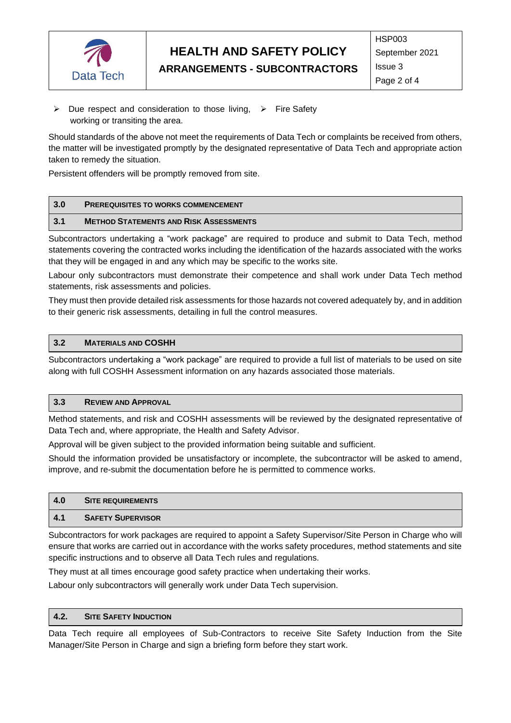

➢ Due respect and consideration to those living, ➢ Fire Safety working or transiting the area.

Should standards of the above not meet the requirements of Data Tech or complaints be received from others, the matter will be investigated promptly by the designated representative of Data Tech and appropriate action taken to remedy the situation.

Persistent offenders will be promptly removed from site.

#### **3.0 PREREQUISITES TO WORKS COMMENCEMENT**

## **3.1 METHOD STATEMENTS AND RISK ASSESSMENTS**

Subcontractors undertaking a "work package" are required to produce and submit to Data Tech, method statements covering the contracted works including the identification of the hazards associated with the works that they will be engaged in and any which may be specific to the works site.

Labour only subcontractors must demonstrate their competence and shall work under Data Tech method statements, risk assessments and policies.

They must then provide detailed risk assessments for those hazards not covered adequately by, and in addition to their generic risk assessments, detailing in full the control measures.

# **3.2 MATERIALS AND COSHH**

Subcontractors undertaking a "work package" are required to provide a full list of materials to be used on site along with full COSHH Assessment information on any hazards associated those materials.

## **3.3 REVIEW AND APPROVAL**

Method statements, and risk and COSHH assessments will be reviewed by the designated representative of Data Tech and, where appropriate, the Health and Safety Advisor.

Approval will be given subject to the provided information being suitable and sufficient.

Should the information provided be unsatisfactory or incomplete, the subcontractor will be asked to amend, improve, and re-submit the documentation before he is permitted to commence works.

| -4.0 | <b>SITE REQUIREMENTS</b> |
|------|--------------------------|
| 4.1  | <b>SAFETY SUPERVISOR</b> |

Subcontractors for work packages are required to appoint a Safety Supervisor/Site Person in Charge who will ensure that works are carried out in accordance with the works safety procedures, method statements and site specific instructions and to observe all Data Tech rules and regulations.

They must at all times encourage good safety practice when undertaking their works.

Labour only subcontractors will generally work under Data Tech supervision.

# **4.2. SITE SAFETY INDUCTION**

Data Tech require all employees of Sub-Contractors to receive Site Safety Induction from the Site Manager/Site Person in Charge and sign a briefing form before they start work.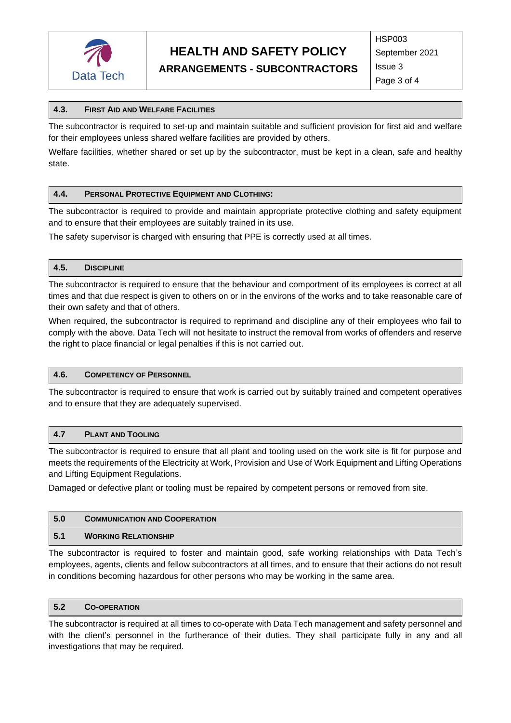

# **4.3. FIRST AID AND WELFARE FACILITIES**

The subcontractor is required to set-up and maintain suitable and sufficient provision for first aid and welfare for their employees unless shared welfare facilities are provided by others.

Welfare facilities, whether shared or set up by the subcontractor, must be kept in a clean, safe and healthy state.

## **4.4. PERSONAL PROTECTIVE EQUIPMENT AND CLOTHING:**

The subcontractor is required to provide and maintain appropriate protective clothing and safety equipment and to ensure that their employees are suitably trained in its use.

The safety supervisor is charged with ensuring that PPE is correctly used at all times.

#### **4.5. DISCIPLINE**

The subcontractor is required to ensure that the behaviour and comportment of its employees is correct at all times and that due respect is given to others on or in the environs of the works and to take reasonable care of their own safety and that of others.

When required, the subcontractor is required to reprimand and discipline any of their employees who fail to comply with the above. Data Tech will not hesitate to instruct the removal from works of offenders and reserve the right to place financial or legal penalties if this is not carried out.

## **4.6. COMPETENCY OF PERSONNEL**

The subcontractor is required to ensure that work is carried out by suitably trained and competent operatives and to ensure that they are adequately supervised.

#### **4.7 PLANT AND TOOLING**

The subcontractor is required to ensure that all plant and tooling used on the work site is fit for purpose and meets the requirements of the Electricity at Work, Provision and Use of Work Equipment and Lifting Operations and Lifting Equipment Regulations.

Damaged or defective plant or tooling must be repaired by competent persons or removed from site.

# **5.0 COMMUNICATION AND COOPERATION**

# **5.1 WORKING RELATIONSHIP**

The subcontractor is required to foster and maintain good, safe working relationships with Data Tech's employees, agents, clients and fellow subcontractors at all times, and to ensure that their actions do not result in conditions becoming hazardous for other persons who may be working in the same area.

#### **5.2 CO-OPERATION**

The subcontractor is required at all times to co-operate with Data Tech management and safety personnel and with the client's personnel in the furtherance of their duties. They shall participate fully in any and all investigations that may be required.